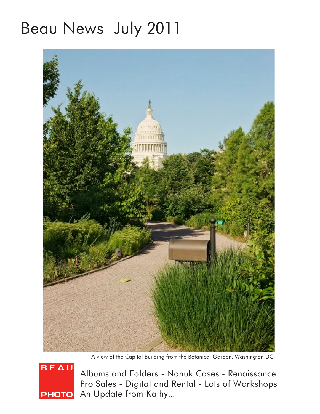# Beau News July 2011



A view of the Capitol Building from the Botanical Garden, Washington DC.



Albums and Folders - Nanuk Cases - Renaissance Pro Sales - Digital and Rental - Lots of Workshops **PHOTO** An Update from Kathy...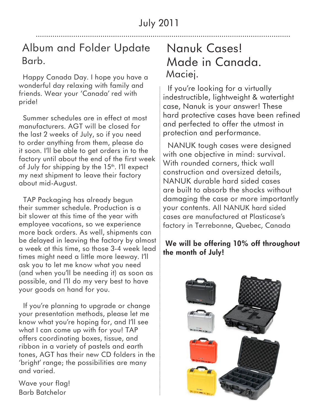## Album and Folder Update Barb.

 Happy Canada Day. I hope you have a wonderful day relaxing with family and friends. Wear your 'Canada' red with pride!

 Summer schedules are in effect at most manufacturers. AGT will be closed for the last 2 weeks of July, so if you need to order anything from them, please do it soon. I'll be able to get orders in to the factory until about the end of the first week of July for shipping by the  $15<sup>th</sup>$ . I'll expect my next shipment to leave their factory about mid-August.

 TAP Packaging has already begun their summer schedule. Production is a bit slower at this time of the year with employee vacations, so we experience more back orders. As well, shipments can be delayed in leaving the factory by almost a week at this time, so those 3-4 week lead times might need a little more leeway. I'll ask you to let me know what you need (and when you'll be needing it) as soon as possible, and I'll do my very best to have your goods on hand for you.

 If you're planning to upgrade or change your presentation methods, please let me know what you're hoping for, and I'll see what I can come up with for you! TAP offers coordinating boxes, tissue, and ribbon in a variety of pastels and earth tones, AGT has their new CD folders in the 'bright' range; the possibilities are many and varied.

Wave your flag! Barb Batchelor

## Nanuk Cases! Made in Canada. Maciej.

 If you're looking for a virtually indestructible, lightweight & watertight case, Nanuk is your answer! These hard protective cases have been refined and perfected to offer the utmost in protection and performance.

 NANUK tough cases were designed with one objective in mind: survival. With rounded corners, thick wall construction and oversized details, NANUK durable hard sided cases are built to absorb the shocks without damaging the case or more importantly your contents. All NANUK hard sided cases are manufactured at Plasticase's factory in Terrebonne, Quebec, Canada

#### **We will be offering 10% off throughout the month of July!**

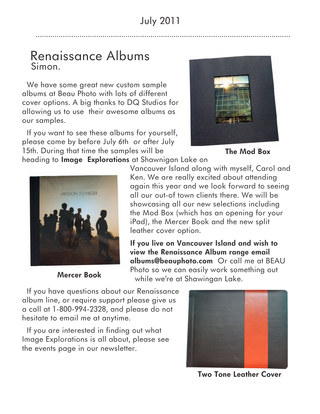### Renaissance Albums Simon.

 We have some great new custom sample albums at Beau Photo with lots of different cover options. A big thanks to DQ Studios for allowing us to use their awesome albums as our samples.

 If you want to see these albums for yourself, please come by before July 6th or after July 15th. During that time the samples will be



**The Mod Box**

heading to **Image Explorations** at Shawnigan Lake on



**Mercer Book**

Vancouver Island along with myself, Carol and Ken. We are really excited about attending again this year and we look forward to seeing all our out-of town clients there. We will be showcasing all our new selections including the Mod Box (which has an opening for your iPad), the Mercer Book and the new split leather cover option.

**If you live on Vancouver Island and wish to view the Renaissance Album range email albums@beauphoto.com** Or call me at BEAU Photo so we can easily work something out while we're at Shawingan Lake.

 If you have questions about our Renaissance album line, or require support please give us a call at 1-800-994-2328, and please do not hesitate to email me at anytime.

 If you are interested in finding out what Image Explorations is all about, please see the events page in our newsletter.



**Two Tone Leather Cover**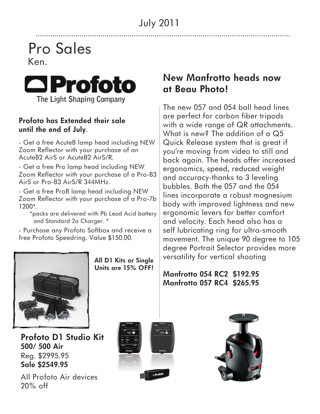## Pro Sales Ken.



#### **Profoto has Extended their sale until the end of July**.

- Get a free AcuteB lamp head including NEW Zoom Reflector with your purchase of an AcuteB2 AirS or AcuteB2 AirS/R.

- Get a free Pro lamp head including NEW Zoom Reflector with your purchase of a Pro-B3 AirS or Pro-B3 AirS/R 344MHz.

- Get a free ProB lamp head including NEW Zoom Reflector with your purchase of a Pro-7b 1200\*.

 \*packs are delivered with Pb Lead Acid battery and Standard 2a Charger. \*

- Purchase any Profoto Softbox and receive a free Profoto Speedring. Value \$150.00.



**Profoto D1 Studio Kit 500/ 500 Air** Reg. \$2995.95 **Sale \$2549.95**

All Profoto Air devices 20% off



#### **New Manfrotto heads now at Beau Photo!**

The new 057 and 054 ball head lines are perfect for carbon fiber tripods with a wide range of QR attachments. What is new? The addition of a Q5 Quick Release system that is great if you're moving from video to still and back again. The heads offer increased ergonomics, speed, reduced weight and accuracy-thanks to 3 leveling bubbles. Both the 057 and the 054 lines incorporate a robust magnesium body with improved lightness and new ergonomic levers for better comfort and velocity. Each head also has a self lubricating ring for ultra-smooth movement. The unique 90 degree to 105 degree Portrait Selector provides more versatility for vertical shooting

**Manfrotto 054 RC2 \$192.95 Manfrotto 057 RC4 \$265.95**



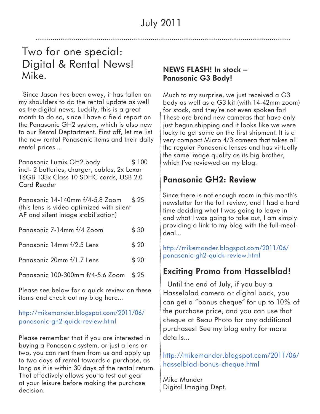## Two for one special: Digital & Rental News! Mike.

 Since Jason has been away, it has fallen on my shoulders to do the rental update as well as the digital news. Luckily, this is a great month to do so, since I have a field report on the Panasonic GH2 system, which is also new to our Rental Deptartment. First off, let me list the new rental Panasonic items and their daily rental prices...

Panasonic Lumix GH2 body \$100 incl- 2 batteries, charger, cables, 2x Lexar 16GB 133x Class 10 SDHC cards, USB 2.0 Card Reader

Panasonic 14-140mm f/4-5.8 Zoom \$25 (this lens is video optimized with silent AF and silent image stabilization)

| Panasonic 7-14mm f/4 Zoom        | \$30 |
|----------------------------------|------|
| Panasonic 14mm f/2.5 Lens        | \$20 |
| Panasonic 20mm f/1.7 Lens        | \$20 |
| Panasonic 100-300mm f/4-5.6 Zoom | \$25 |

Please see below for a quick review on these items and check out my blog here...

#### [http://mikemander.blogspot.com/2011/06/](http://mikemander.blogspot.com/2011/06/panasonic-gh2-quick-review.html) [panasonic-gh2-quick-review.html](http://mikemander.blogspot.com/2011/06/panasonic-gh2-quick-review.html)

Please remember that if you are interested in buying a Panasonic system, or just a lens or two, you can rent them from us and apply up to two days of rental towards a purchase, as long as it is within 30 days of the rental return. That effectively allows you to test out gear at your leisure before making the purchase decision.

#### **NEWS FLASH! In stock – Panasonic G3 Body!**

Much to my surprise, we just received a G3 body as well as a G3 kit (with 14-42mm zoom) for stock, and they're not even spoken for! These are brand new cameras that have only just begun shipping and it looks like we were lucky to get some on the first shipment. It is a very compact Micro 4/3 camera that takes all the regular Panasonic lenses and has virtually the same image quality as its big brother, which I've reviewed on my blog.

#### **Panasonic GH2: Review**

Since there is not enough room in this month's newsletter for the full review, and I had a hard time deciding what I was going to leave in and what I was going to take out, I am simply providing a link to my blog with the full-mealdeal...

[http://mikemander.blogspot.com/2011/06/](http://mikemander.blogspot.com/2011/06/panasonic-gh2-quick-review.html) [panasonic-gh2-quick-review.html](http://mikemander.blogspot.com/2011/06/panasonic-gh2-quick-review.html)

#### **Exciting Promo from Hasselblad!**

 Until the end of July, if you buy a Hasselblad camera or digital back, you can get a "bonus cheque" for up to 10% of the purchase price, and you can use that cheque at Beau Photo for any additional purchases! See my blog entry for more details...

[http://mikemander.blogspot.com/2011/06/](http://mikemander.blogspot.com/2011/06/hasselblad-bonus-cheque.html) [hasselblad-bonus-cheque.html](http://mikemander.blogspot.com/2011/06/hasselblad-bonus-cheque.html)

Mike Mander Digital Imaging Dept.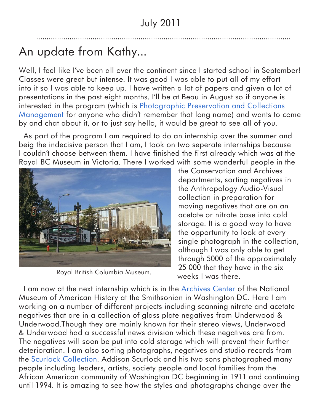# An update from Kathy...

Well, I feel like I've been all over the continent since I started school in September! Classes were great but intense. It was good I was able to put all of my effort into it so I was able to keep up. I have written a lot of papers and given a lot of presentations in the past eight months. I'll be at Beau in August so if anyone is interested in the program (which is [Photographic Preservation and Collections](http://www.imagearts.ryerson.ca/photopreservation/)  [Management](http://www.imagearts.ryerson.ca/photopreservation/) for anyone who didn't remember that long name) and wants to come by and chat about it, or to just say hello, it would be great to see all of you.

 As part of the program I am required to do an internship over the summer and beig the indecisive person that I am, I took on two seperate internships because I couldn't choose between them. I have finished the first already which was at the Royal BC Museum in Victoria. There I worked with some wonderful people in the



Royal British Columbia Museum.

the Conservation and Archives departments, sorting negatives in the Anthropology Audio-Visual collection in preparation for moving negatives that are on an acetate or nitrate base into cold storage. It is a good way to have the opportunity to look at every single photograph in the collection, although I was only able to get through 5000 of the approximately 25 000 that they have in the six weeks I was there.

 I am now at the next internship which is in the [Archives Center](http://americanhistory.si.edu/archives/b-1.htm) of the National Museum of American History at the Smithsonian in Washington DC. Here I am working on a number of different projects including scanning nitrate and acetate negatives that are in a collection of glass plate negatives from Underwood & Underwood.Though they are mainly known for their stereo views, Underwood & Underwood had a successful news division which these negatives are from. The negatives will soon be put into cold storage which will prevent their further deterioration. I am also sorting photographs, negatives and studio records from the [Scurlock Collection.](http://americanhistory.si.edu/archives/scurlock/index.html) Addison Scurlock and his two sons photographed many people including leaders, artists, society people and local families from the African American community of Washington DC beginning in 1911 and continuing until 1994. It is amazing to see how the styles and photographs change over the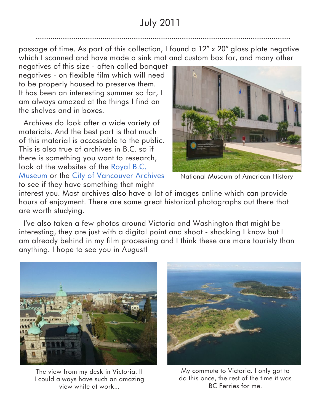passage of time. As part of this collection, I found a 12" x 20" glass plate negative which I scanned and have made a sink mat and custom box for, and many other

negatives of this size - often called banquet negatives - on flexible film which will need to be properly housed to preserve them. It has been an interesting summer so far, I am always amazed at the things I find on the shelves and in boxes.

 Archives do look after a wide variety of materials. And the best part is that much of this material is accessable to the public. This is also true of archives in B.C. so if there is something you want to research, look at the websites of the [Royal B.C.](http://www.royalbcmuseum.bc.ca/Collect_Research/default.aspx)  [Museum](http://www.royalbcmuseum.bc.ca/Collect_Research/default.aspx) or the [City of Vancouver Archives](http://vancouver.ca/ctyclerk/archives/) to see if they have something that might



National Museum of American History

interest you. Most archives also have a lot of images online which can provide hours of enjoyment. There are some great historical photographs out there that are worth studying.

 I've also taken a few photos around Victoria and Washington that might be interesting, they are just with a digital point and shoot - shocking I know but I am already behind in my film processing and I think these are more touristy than anything. I hope to see you in August!



The view from my desk in Victoria. If I could always have such an amazing view while at work...



My commute to Victoria. I only got to do this once, the rest of the time it was BC Ferries for me.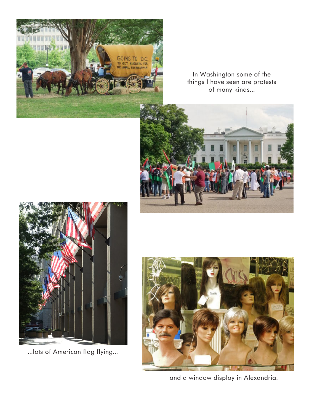

In Washington some of the things I have seen are protests of many kinds...





...lots of American flag flying...



and a window display in Alexandria.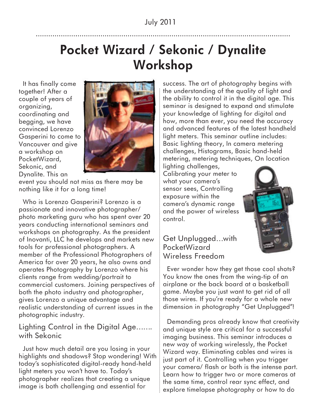## **Pocket Wizard / Sekonic / Dynalite Workshop**

 It has finally come together! After a couple of years of organizing, coordinating and begging, we have convinced Lorenzo Gasperini to come to Vancouver and give a workshop on PocketWizard, Sekonic, and Dynalite. This an



event you should not miss as there may be nothing like it for a long time!

 Who is Lorenzo Gasperini? Lorenzo is a passionate and innovative photographer/ photo marketing guru who has spent over 20 years conducting international seminars and workshops on photography. As the president of Inovanti, LLC he develops and markets new tools for professional photographers. A member of the Professional Photographers of America for over 20 years, he also owns and operates Photography by Lorenzo where his clients range from wedding/portrait to commercial customers. Joining perspectives of both the photo industry and photographer, gives Lorenzo a unique advantage and realistic understanding of current issues in the photographic industry.

#### Lighting Control in the Digital Age……. with Sekonic

 Just how much detail are you losing in your highlights and shadows? Stop wondering! With today's sophisticated digital-ready hand-held light meters you won't have to. Today's photographer realizes that creating a unique image is both challenging and essential for

success. The art of photography begins with the understanding of the quality of light and the ability to control it in the digital age. This seminar is designed to expand and stimulate your knowledge of lighting for digital and how, more than ever, you need the accuracy and advanced features of the latest handheld light meters. This seminar outline includes: Basic lighting theory, In camera metering challenges, Histograms, Basic hand-held metering, metering techniques, On location

lighting challenges, Calibrating your meter to what your camera's sensor sees, Controlling exposure within the camera's dynamic range and the power of wireless control.



#### Get Unplugged…with PocketWizard Wireless Freedom

 Ever wonder how they get those cool shots? You know the ones from the wing-tip of an airplane or the back board at a basketball game. Maybe you just want to get rid of all those wires. If you're ready for a whole new dimension in photography "Get Unplugged"!

 Demanding pros already know that creativity and unique style are critical for a successful imaging business. This seminar introduces a new way of working wirelessly, the Pocket Wizard way. Eliminating cables and wires is just part of it. Controlling when you trigger your camera/ flash or both is the intense part. Learn how to trigger two or more cameras at the same time, control rear sync effect, and explore timelapse photography or how to do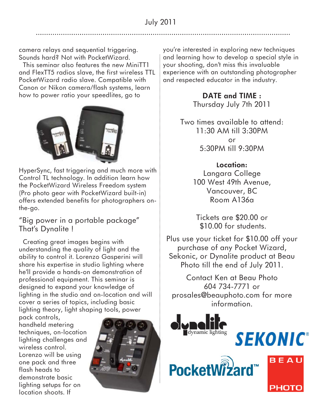camera relays and sequential triggering. Sounds hard? Not with PocketWizard.

 This seminar also features the new MiniTT1 and FlexTT5 radios slave, the first wireless TTL PocketWizard radio slave. Compatible with Canon or Nikon camera/flash systems, learn how to power ratio your speedlites, go to



HyperSync, fast triggering and much more with Control TL technology. In addition learn how the PocketWizard Wireless Freedom system (Pro photo gear with PocketWizard built-in) offers extended benefits for photographers onthe-go.

"Big power in a portable package" That's Dynalite !

 Creating great images begins with understanding the quality of light and the ability to control it. Lorenzo Gasperini will share his expertise in studio lighting where he'll provide a hands-on demonstration of professional equipment. This seminar is designed to expand your knowledge of lighting in the studio and on-location and will cover a series of topics, including basic lighting theory, light shaping tools, power

pack controls, handheld metering techniques, on-location lighting challenges and wireless control. Lorenzo will be using one pack and three flash heads to demonstrate basic lighting setups for on location shoots. If



you're interested in exploring new techniques and learning how to develop a special style in your shooting, don't miss this invaluable experience with an outstanding photographer and respected educator in the industry.

> **DATE and TIME :** Thursday July 7th 2011

Two times available to attend: 11:30 AM till 3:30PM or 5:30PM till 9:30PM

> **Location:** Langara College 100 West 49th Avenue, Vancouver, BC Room A136a

Tickets are \$20.00 or \$10.00 for students.

Plus use your ticket for \$10.00 off your purchase of any Pocket Wizard, Sekonic, or Dynalite product at Beau Photo till the end of July 2011.

Contact Ken at Beau Photo 604 734-7771 or prosales@beauphoto.com for more information.

**SEKONIC®** 

BEAU



PocketWi?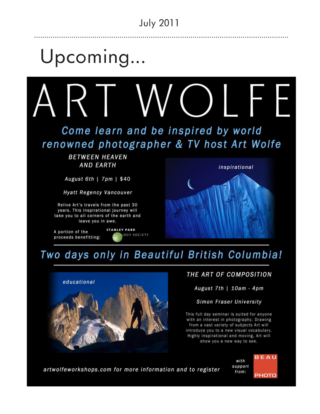# Upcoming...



Come learn and be inspired by world renowned photographer & TV host Art Wolfe

> **BETWEEN HEAVEN AND EARTH**

August 6th | 7pm | \$40

Hyatt Regency Vancouver

Relive Art's travels from the past 30 years. This inspirational journey will take you to all corners of the earth and leave you in awe.

A portion of the proceeds benefitting:





## Two days only in Beautiful British Columbia!



#### THE ART OF COMPOSITION

August 7th | 10am - 4pm

Simon Fraser University

This full day seminar is suited for anyone with an interest in photography. Drawing from a vast variety of subjects Art will introduce you to a new visual vocabulary. Highly inspirational and moving, Art will show you a new way to see.

artwolfeworkshops.com for more information and to register

**BEAU** with support from: **PHOTO**